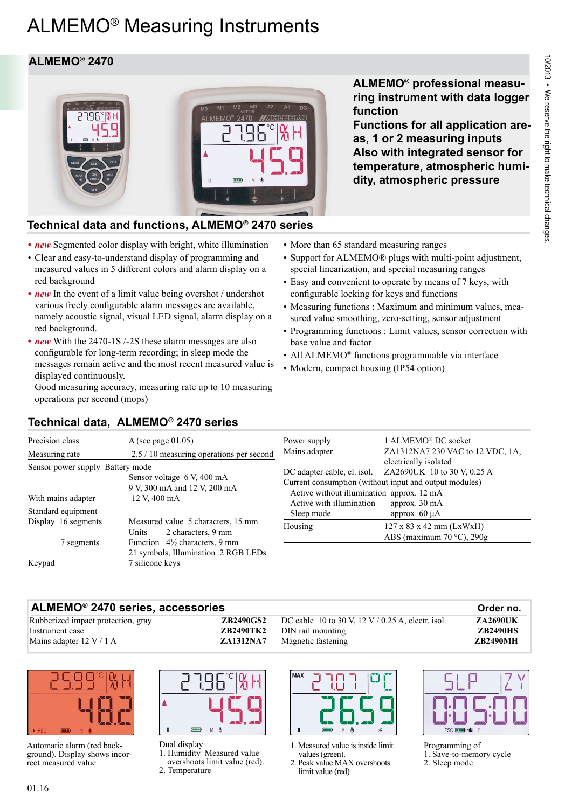# ALMEMO® Measuring Instruments

### **ALMEMO® 2470**



### **ALMEMO® professional measuring instrument with data logger function**

**Functions for all application areas, 1 or 2 measuring inputs Also with integrated sensor for temperature, atmospheric humidity, atmospheric pressure**

### **Technical data and functions, ALMEMO® 2470 series**

- **new** Segmented color display with bright, white illumination
- Clear and easy-to-understand display of programming and measured values in 5 different colors and alarm display on a red background
- *new* In the event of a limit value being overshot / undershot various freely configurable alarm messages are available, namely acoustic signal, visual LED signal, alarm display on a red background.
- **new** With the 2470-1S /-2S these alarm messages are also configurable for long-term recording; in sleep mode the messages remain active and the most recent measured value is displayed continuously.

Good measuring accuracy, measuring rate up to 10 measuring operations per second (mops)

- More than 65 standard measuring ranges
- Support for ALMEMO® plugs with multi-point adjustment, special linearization, and special measuring ranges
- Easy and convenient to operate by means of 7 keys, with configurable locking for keys and functions
- Measuring functions : Maximum and minimum values, measured value smoothing, zero-setting, sensor adjustment
- Programming functions : Limit values, sensor correction with base value and factor
- All ALMEMO<sup>®</sup> functions programmable via interface
- Modern, compact housing (IP54 option)

## Precision class A (see page 01.05) **Technical data, ALMEMO® 2470 series**

| Precision class                                                                                                                      | A (see page $01.05$ )                                                                              | Power supply                                                                                         | 1 ALMEMO <sup>®</sup> DC socket                                                                                                           |
|--------------------------------------------------------------------------------------------------------------------------------------|----------------------------------------------------------------------------------------------------|------------------------------------------------------------------------------------------------------|-------------------------------------------------------------------------------------------------------------------------------------------|
| Measuring rate                                                                                                                       | 2.5 / 10 measuring operations per second                                                           | Mains adapter                                                                                        | ZA1312NA7 230 VAC to 12 VDC, 1A,                                                                                                          |
| Sensor power supply Battery mode<br>Sensor voltage 6 V, 400 mA<br>9 V, 300 mA and 12 V, 200 mA<br>With mains adapter<br>12 V, 400 mA |                                                                                                    | DC adapter cable, el. isol.<br>Active without illumination approx. 12 mA<br>Active with illumination | electrically isolated<br>ZA2690UK 10 to 30 V, 0.25 A<br>Current consumption (without input and output modules)<br>approx. $30 \text{ mA}$ |
| Standard equipment                                                                                                                   |                                                                                                    | Sleep mode                                                                                           | approx. $60 \mu A$                                                                                                                        |
| Display 16 segments                                                                                                                  | Measured value 5 characters, 15 mm<br>2 characters, 9 mm<br><b>Units</b>                           | Housing                                                                                              | $127 \times 83 \times 42 \text{ mm}$ (LxWxH)<br>ABS (maximum 70 $\degree$ C), 290g                                                        |
| 7 segments<br>Keypad                                                                                                                 | Function $4\frac{1}{2}$ characters, 9 mm<br>21 symbols, Illumination 2 RGB LEDs<br>7 silicone keys |                                                                                                      |                                                                                                                                           |

#### **ALMEMO® 2470 series, accessories Order no.**

Rubberized impact protection, gray **ZB2490GS2** Instrument case **ZB2490TK2 Mains adapter 12 V / 1 A ZA1312NA7** 



Automatic alarm (red background). Display shows incorrect measured value



Dual display 1. Humidity Measured value

overshoots limit value (red). 2. Temperature

DC cable 10 to 30 V, 12 V / 0.25 A, electr. isol. **ZA2690UK** DIN rail mounting **ZB2490HS** Magnetic fastening **ZB2490MH**



1. Measured value is inside limit values (green).

2. Peak value MAX overshoots limit value (red)

ESC **EED** 



- 1. Save-to-memory cycle
- 2. Sleep mode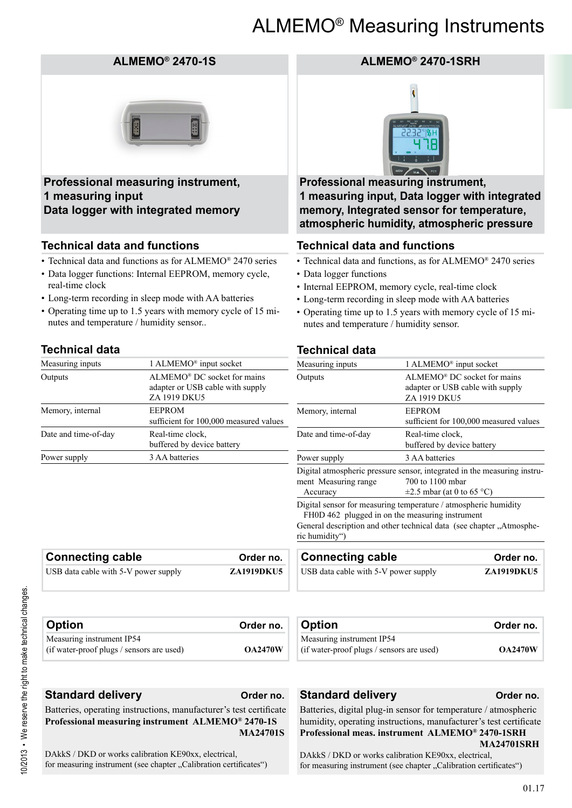## ALMEMO® Measuring Instruments

#### **ALMEMO® 2470-1S**



**Professional measuring instrument, 1 measuring input Data logger with integrated memory**

#### **Technical data and functions**

- Technical data and functions as for ALMEMO® 2470 series
- Data logger functions: Internal EEPROM, memory cycle, real-time clock
- Long-term recording in sleep mode with AA batteries
- Operating time up to 1.5 years with memory cycle of 15 minutes and temperature / humidity sensor..

#### **Technical data**

| Measuring inputs     | 1 ALMEMO <sup>®</sup> input socket                                              |
|----------------------|---------------------------------------------------------------------------------|
| Outputs              | ALMEMO® DC socket for mains<br>adapter or USB cable with supply<br>ZA 1919 DKU5 |
| Memory, internal     | <b>EEPROM</b><br>sufficient for 100,000 measured values                         |
| Date and time-of-day | Real-time clock.<br>buffered by device battery                                  |
| Power supply         | 3 AA batteries                                                                  |

**Connecting cable 6 Connecting Cable 6 Connecting Cable 6 Connection 6 Connection 6 Connection 6 Connection 6 Connection 6 Connection 6 Connection 6 Connection 6 Connection 6 Connection 6 Connection 6 Connection 6 Connecti** USB data cable with 5-V power supply **ZA1919DKU5** 

#### **ALMEMO® 2470-1SRH**



**Professional measuring instrument, 1 measuring input, Data logger with integrated memory, Integrated sensor for temperature, atmospheric humidity, atmospheric pressure**

#### **Technical data and functions**

- Technical data and functions, as for ALMEMO® 2470 series
- Data logger functions
- Internal EEPROM, memory cycle, real-time clock
- Long-term recording in sleep mode with AA batteries
- Operating time up to 1.5 years with memory cycle of 15 minutes and temperature / humidity sensor.

#### **Technical data**

| Measuring inputs                                                                                                                                                   | 1 ALMEMO <sup>®</sup> input socket                                                          |  |
|--------------------------------------------------------------------------------------------------------------------------------------------------------------------|---------------------------------------------------------------------------------------------|--|
| Outputs                                                                                                                                                            | ALMEMO <sup>®</sup> DC socket for mains<br>adapter or USB cable with supply<br>ZA 1919 DKU5 |  |
| Memory, internal                                                                                                                                                   | <b>EEPROM</b><br>sufficient for 100,000 measured values                                     |  |
| Date and time-of-day                                                                                                                                               | Real-time clock,<br>buffered by device battery                                              |  |
| Power supply                                                                                                                                                       | 3 AA batteries                                                                              |  |
| Digital atmospheric pressure sensor, integrated in the measuring instru-<br>700 to 1100 mbar<br>ment Measuring range<br>$\pm 2.5$ mbar (at 0 to 65 °C)<br>Accuracy |                                                                                             |  |
| FH0D 462 plugged in on the measuring instrument                                                                                                                    | Digital sensor for measuring temperature / atmospheric humidity                             |  |

General description and other technical data (see chapter ...Atmospheric humidity")

| <b>Connecting cable</b>              | Order no.         |
|--------------------------------------|-------------------|
| USB data cable with 5-V power supply | <b>ZA1919DKU5</b> |
|                                      |                   |

| <b>Option</b>                                                          | Order no.      | <b>Option</b>                                                          | Order no.      |
|------------------------------------------------------------------------|----------------|------------------------------------------------------------------------|----------------|
| Measuring instrument IP54<br>(if water-proof plugs / sensors are used) | <b>OA2470W</b> | Measuring instrument IP54<br>(if water-proof plugs / sensors are used) | <b>OA2470W</b> |

**Standard delivery Order no.** 

Batteries, operating instructions, manufacturer's test certificate **Professional measuring instrument ALMEMO® 2470-1S MA24701S**

DAkkS / DKD or works calibration KE90xx, electrical, for measuring instrument (see chapter "Calibration certificates")

#### **Standard delivery Order no.**

Batteries, digital plug-in sensor for temperature / atmospheric humidity, operating instructions, manufacturer's test certificate **Professional meas. instrument ALMEMO® 2470-1SRH MA24701SRH**

DAkkS / DKD or works calibration KE90xx, electrical, for measuring instrument (see chapter "Calibration certificates")